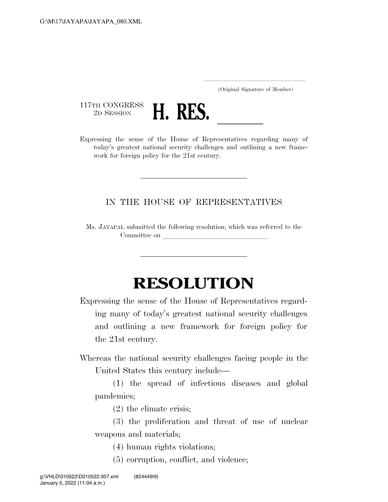..................................................................... (Original Signature of Member)

 $\begin{array}{c} \text{117TH CONGRESS} \\ \text{2D SESION} \end{array}$ 



2D SESSION **H. RES.** <u>Leaders of the House of Representatives regarding many of</u> today's greatest national security challenges and outlining a new framework for foreign policy for the 21st century.

## IN THE HOUSE OF REPRESENTATIVES

Ms. JAYAPAL submitted the following resolution; which was referred to the Committee on

## **RESOLUTION**

Expressing the sense of the House of Representatives regarding many of today's greatest national security challenges and outlining a new framework for foreign policy for the 21st century.

Whereas the national security challenges facing people in the United States this century include—

(1) the spread of infectious diseases and global pandemics;

(2) the climate crisis;

(3) the proliferation and threat of use of nuclear weapons and materials;

- (4) human rights violations;
- (5) corruption, conflict, and violence;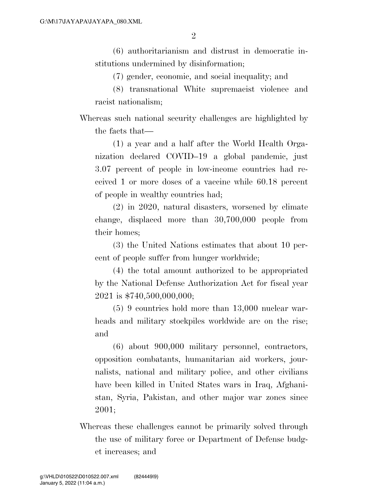(6) authoritarianism and distrust in democratic institutions undermined by disinformation;

(7) gender, economic, and social inequality; and

(8) transnational White supremacist violence and racist nationalism;

Whereas such national security challenges are highlighted by the facts that—

(1) a year and a half after the World Health Organization declared COVID–19 a global pandemic, just 3.07 percent of people in low-income countries had received 1 or more doses of a vaccine while 60.18 percent of people in wealthy countries had;

(2) in 2020, natural disasters, worsened by climate change, displaced more than 30,700,000 people from their homes;

(3) the United Nations estimates that about 10 percent of people suffer from hunger worldwide;

(4) the total amount authorized to be appropriated by the National Defense Authorization Act for fiscal year 2021 is \$740,500,000,000;

(5) 9 countries hold more than 13,000 nuclear warheads and military stockpiles worldwide are on the rise; and

(6) about 900,000 military personnel, contractors, opposition combatants, humanitarian aid workers, journalists, national and military police, and other civilians have been killed in United States wars in Iraq, Afghanistan, Syria, Pakistan, and other major war zones since 2001;

Whereas these challenges cannot be primarily solved through the use of military force or Department of Defense budget increases; and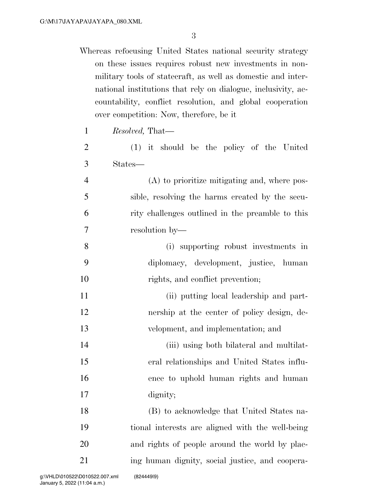Whereas refocusing United States national security strategy on these issues requires robust new investments in nonmilitary tools of statecraft, as well as domestic and international institutions that rely on dialogue, inclusivity, accountability, conflict resolution, and global cooperation over competition: Now, therefore, be it

|                | over competition: Now, therefore, be it          |
|----------------|--------------------------------------------------|
| $\mathbf{1}$   | <i>Resolved</i> , That—                          |
| $\overline{2}$ | $(1)$ it should be the policy of the United      |
| 3              | States—                                          |
| $\overline{4}$ | (A) to prioritize mitigating and, where pos-     |
| 5              | sible, resolving the harms created by the secu-  |
| 6              | rity challenges outlined in the preamble to this |
| 7              | resolution by-                                   |
| 8              | (i) supporting robust investments in             |
| 9              | diplomacy, development, justice, human           |
| 10             | rights, and conflict prevention;                 |
| 11             | (ii) putting local leadership and part-          |
| 12             | nership at the center of policy design, de-      |
| 13             | velopment, and implementation; and               |
| 14             | (iii) using both bilateral and multilat-         |
| 15             | eral relationships and United States influ-      |
| 16             | ence to uphold human rights and human            |
| 17             | dignity;                                         |
| 18             | (B) to acknowledge that United States na-        |
| 19             | tional interests are aligned with the well-being |
| 20             | and rights of people around the world by plac-   |

ing human dignity, social justice, and coopera-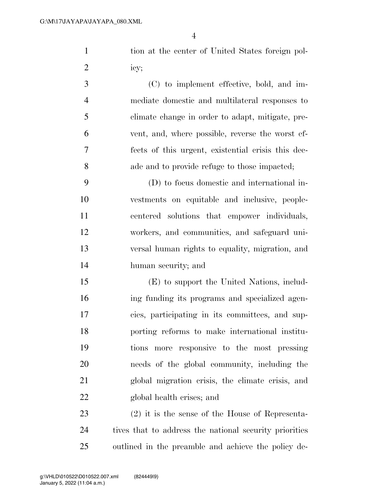1 tion at the center of United States foreign pol-icy;

 (C) to implement effective, bold, and im- mediate domestic and multilateral responses to climate change in order to adapt, mitigate, pre- vent, and, where possible, reverse the worst ef- fects of this urgent, existential crisis this dec-ade and to provide refuge to those impacted;

 (D) to focus domestic and international in- vestments on equitable and inclusive, people- centered solutions that empower individuals, workers, and communities, and safeguard uni- versal human rights to equality, migration, and human security; and

 (E) to support the United Nations, includ- ing funding its programs and specialized agen- cies, participating in its committees, and sup- porting reforms to make international institu- tions more responsive to the most pressing needs of the global community, including the global migration crisis, the climate crisis, and global health crises; and

 (2) it is the sense of the House of Representa- tives that to address the national security priorities outlined in the preamble and achieve the policy de-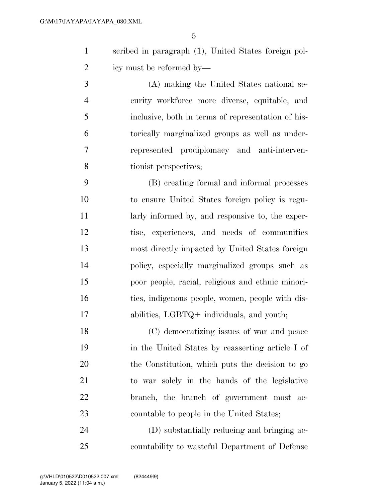scribed in paragraph (1), United States foreign pol-icy must be reformed by—

 (A) making the United States national se- curity workforce more diverse, equitable, and inclusive, both in terms of representation of his- torically marginalized groups as well as under- represented prodiplomacy and anti-interven-tionist perspectives;

 (B) creating formal and informal processes to ensure United States foreign policy is regu- larly informed by, and responsive to, the exper- tise, experiences, and needs of communities most directly impacted by United States foreign policy, especially marginalized groups such as poor people, racial, religious and ethnic minori- ties, indigenous people, women, people with dis-abilities, LGBTQ+ individuals, and youth;

 (C) democratizing issues of war and peace in the United States by reasserting article I of the Constitution, which puts the decision to go to war solely in the hands of the legislative branch, the branch of government most ac-countable to people in the United States;

 (D) substantially reducing and bringing ac-countability to wasteful Department of Defense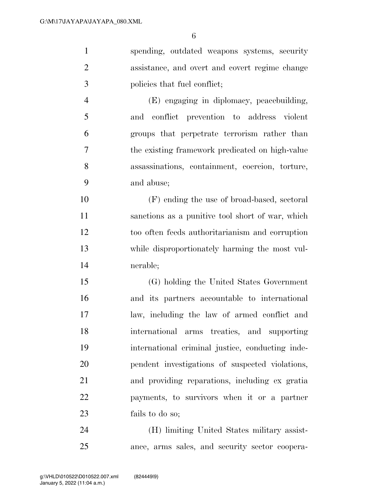spending, outdated weapons systems, security assistance, and overt and covert regime change policies that fuel conflict; (E) engaging in diplomacy, peacebuilding, and conflict prevention to address violent groups that perpetrate terrorism rather than the existing framework predicated on high-value assassinations, containment, coercion, torture, and abuse; (F) ending the use of broad-based, sectoral sanctions as a punitive tool short of war, which too often feeds authoritarianism and corruption

nerable;

while disproportionately harming the most vul-

 (G) holding the United States Government and its partners accountable to international law, including the law of armed conflict and international arms treaties, and supporting international criminal justice, conducting inde- pendent investigations of suspected violations, and providing reparations, including ex gratia payments, to survivors when it or a partner fails to do so;

 (H) limiting United States military assist-ance, arms sales, and security sector coopera-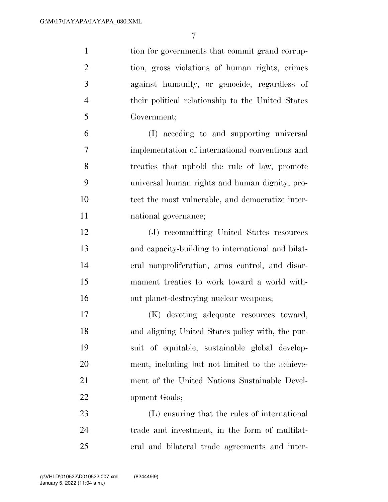tion for governments that commit grand corrup- tion, gross violations of human rights, crimes against humanity, or genocide, regardless of their political relationship to the United States Government;

 (I) acceding to and supporting universal implementation of international conventions and treaties that uphold the rule of law, promote universal human rights and human dignity, pro- tect the most vulnerable, and democratize inter-national governance;

 (J) recommitting United States resources and capacity-building to international and bilat- eral nonproliferation, arms control, and disar- mament treaties to work toward a world with-out planet-destroying nuclear weapons;

 (K) devoting adequate resources toward, and aligning United States policy with, the pur- suit of equitable, sustainable global develop- ment, including but not limited to the achieve- ment of the United Nations Sustainable Devel-opment Goals;

 (L) ensuring that the rules of international trade and investment, in the form of multilat-eral and bilateral trade agreements and inter-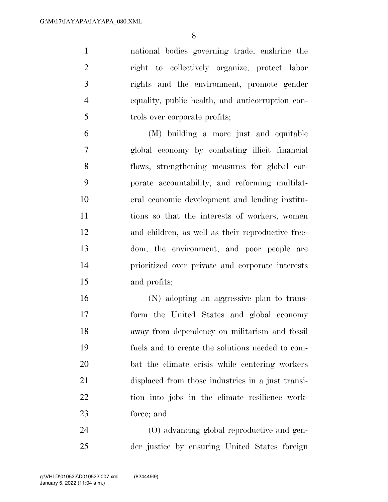national bodies governing trade, enshrine the right to collectively organize, protect labor rights and the environment, promote gender equality, public health, and anticorruption con-trols over corporate profits;

 (M) building a more just and equitable global economy by combating illicit financial flows, strengthening measures for global cor- porate accountability, and reforming multilat- eral economic development and lending institu- tions so that the interests of workers, women and children, as well as their reproductive free- dom, the environment, and poor people are prioritized over private and corporate interests and profits;

 (N) adopting an aggressive plan to trans- form the United States and global economy away from dependency on militarism and fossil fuels and to create the solutions needed to com- bat the climate crisis while centering workers displaced from those industries in a just transi- tion into jobs in the climate resilience work-force; and

 (O) advancing global reproductive and gen-der justice by ensuring United States foreign